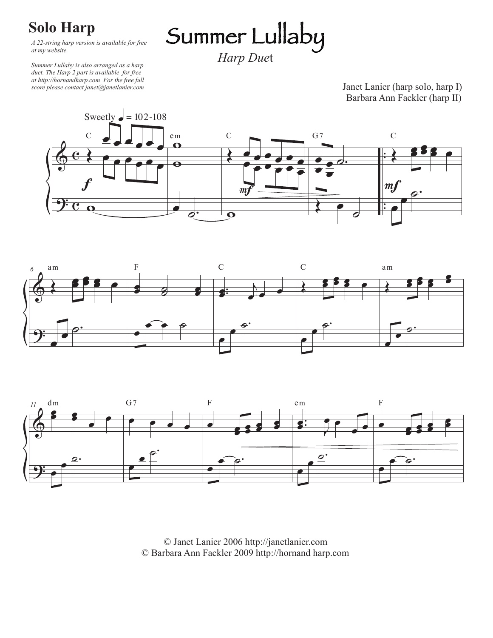## **Solo Harp**

*A 22-string harp version is available for free at my website.* 

*Summer Lullaby is also arranged as a harp duet. The Harp 2 part is available for free at http://hornandharp.com For the free full score please contact janet@janetlanier.com*

Janet Lanier (harp solo, harp I) Barbara Ann Fackler (harp II)







© Janet Lanier 2006 http://janetlanier.com © Barbara Ann Fackler 2009 http://hornand harp.com

Summer Lullaby *Harp Due*t